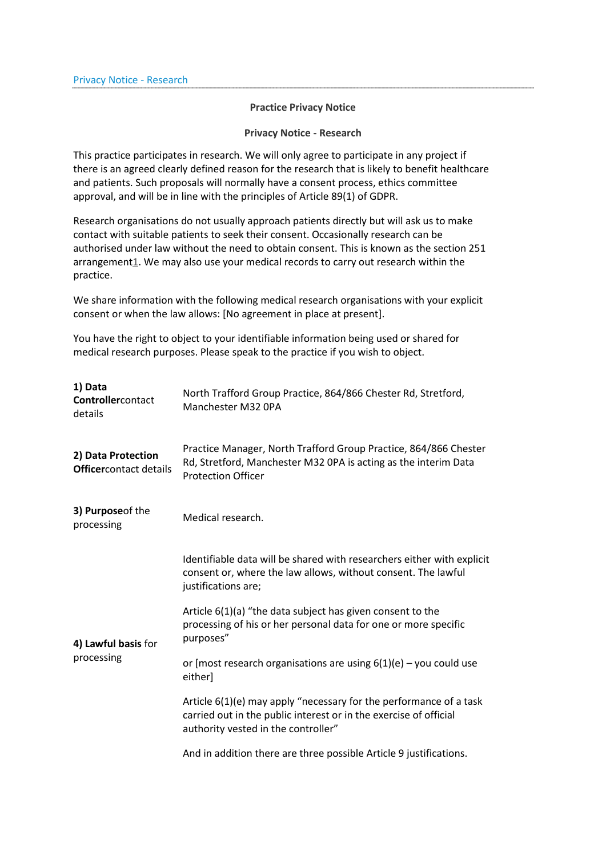## **Practice Privacy Notice**

## **Privacy Notice - Research**

This practice participates in research. We will only agree to participate in any project if there is an agreed clearly defined reason for the research that is likely to benefit healthcare and patients. Such proposals will normally have a consent process, ethics committee approval, and will be in line with the principles of Article 89(1) of GDPR.

Research organisations do not usually approach patients directly but will ask us to make contact with suitable patients to seek their consent. Occasionally research can be authorised under law without the need to obtain consent. This is known as the section 251 arrangemen[t1.](https://www.chesterroadsurgery.co.uk/pages/Privacy-Notice---Research#one) We may also use your medical records to carry out research within the practice.

We share information with the following medical research organisations with your explicit consent or when the law allows: [No agreement in place at present].

You have the right to object to your identifiable information being used or shared for medical research purposes. Please speak to the practice if you wish to object.

| 1) Data<br>Controllercontact<br>details             | North Trafford Group Practice, 864/866 Chester Rd, Stretford,<br>Manchester M32 OPA                                                                                            |
|-----------------------------------------------------|--------------------------------------------------------------------------------------------------------------------------------------------------------------------------------|
| 2) Data Protection<br><b>Officercontact details</b> | Practice Manager, North Trafford Group Practice, 864/866 Chester<br>Rd, Stretford, Manchester M32 OPA is acting as the interim Data<br><b>Protection Officer</b>               |
| 3) Purpose of the<br>processing                     | Medical research.                                                                                                                                                              |
| 4) Lawful basis for<br>processing                   | Identifiable data will be shared with researchers either with explicit<br>consent or, where the law allows, without consent. The lawful<br>justifications are;                 |
|                                                     | Article 6(1)(a) "the data subject has given consent to the<br>processing of his or her personal data for one or more specific<br>purposes"                                     |
|                                                     | or [most research organisations are using $6(1)(e)$ – you could use<br>either]                                                                                                 |
|                                                     | Article 6(1)(e) may apply "necessary for the performance of a task<br>carried out in the public interest or in the exercise of official<br>authority vested in the controller" |
|                                                     | And in addition there are three possible Article 9 justifications.                                                                                                             |